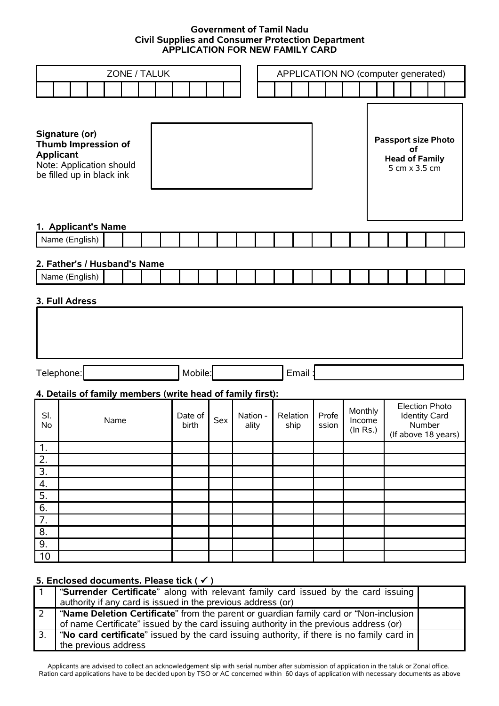## **Government of Tamil Nadu Civil Supplies and Consumer Protection Department APPLICATION FOR NEW FAMILY CARD**

| ZONE / TALUK                                                                                                              |                                                                                                                                           |                                                            |  |  |                  |     | APPLICATION NO (computer generated) |  |  |                  |                |  |  |                               |                                                                                |                     |  |  |  |
|---------------------------------------------------------------------------------------------------------------------------|-------------------------------------------------------------------------------------------------------------------------------------------|------------------------------------------------------------|--|--|------------------|-----|-------------------------------------|--|--|------------------|----------------|--|--|-------------------------------|--------------------------------------------------------------------------------|---------------------|--|--|--|
|                                                                                                                           |                                                                                                                                           |                                                            |  |  |                  |     |                                     |  |  |                  |                |  |  |                               |                                                                                |                     |  |  |  |
| Signature (or)<br><b>Thumb Impression of</b><br><b>Applicant</b><br>Note: Application should<br>be filled up in black ink |                                                                                                                                           |                                                            |  |  |                  |     |                                     |  |  |                  |                |  |  |                               | <b>Passport size Photo</b><br><b>Head of Family</b>                            | οf<br>5 cm x 3.5 cm |  |  |  |
| 1. Applicant's Name<br>Name (English)                                                                                     |                                                                                                                                           |                                                            |  |  |                  |     |                                     |  |  |                  |                |  |  |                               |                                                                                |                     |  |  |  |
|                                                                                                                           |                                                                                                                                           |                                                            |  |  |                  |     |                                     |  |  |                  |                |  |  |                               |                                                                                |                     |  |  |  |
|                                                                                                                           | 2. Father's / Husband's Name                                                                                                              |                                                            |  |  |                  |     |                                     |  |  |                  |                |  |  |                               |                                                                                |                     |  |  |  |
|                                                                                                                           | Name (English)                                                                                                                            |                                                            |  |  |                  |     |                                     |  |  |                  |                |  |  |                               |                                                                                |                     |  |  |  |
|                                                                                                                           | 3. Full Adress                                                                                                                            |                                                            |  |  |                  |     |                                     |  |  |                  |                |  |  |                               |                                                                                |                     |  |  |  |
|                                                                                                                           | Mobile:<br>Telephone:<br>Email                                                                                                            |                                                            |  |  |                  |     |                                     |  |  |                  |                |  |  |                               |                                                                                |                     |  |  |  |
|                                                                                                                           |                                                                                                                                           | 4. Details of family members (write head of family first): |  |  |                  |     |                                     |  |  |                  |                |  |  |                               |                                                                                |                     |  |  |  |
| SI.<br>Name<br>No                                                                                                         |                                                                                                                                           |                                                            |  |  | Date of<br>birth | Sex | Nation -<br>ality                   |  |  | Relation<br>ship | Profe<br>ssion |  |  | Monthly<br>Income<br>(ln Rs.) | <b>Election Photo</b><br><b>Identity Card</b><br>Number<br>(If above 18 years) |                     |  |  |  |
| $\mathbf 1$ .                                                                                                             |                                                                                                                                           |                                                            |  |  |                  |     |                                     |  |  |                  |                |  |  |                               |                                                                                |                     |  |  |  |
| $\overline{2}$ .                                                                                                          |                                                                                                                                           |                                                            |  |  |                  |     |                                     |  |  |                  |                |  |  |                               |                                                                                |                     |  |  |  |
| 3.<br>4.                                                                                                                  |                                                                                                                                           |                                                            |  |  |                  |     |                                     |  |  |                  |                |  |  |                               |                                                                                |                     |  |  |  |
| 5.                                                                                                                        |                                                                                                                                           |                                                            |  |  |                  |     |                                     |  |  |                  |                |  |  |                               |                                                                                |                     |  |  |  |
| $\overline{6}$ .                                                                                                          |                                                                                                                                           |                                                            |  |  |                  |     |                                     |  |  |                  |                |  |  |                               |                                                                                |                     |  |  |  |
| $\overline{7}$ .                                                                                                          |                                                                                                                                           |                                                            |  |  |                  |     |                                     |  |  |                  |                |  |  |                               |                                                                                |                     |  |  |  |
| 8.                                                                                                                        |                                                                                                                                           |                                                            |  |  |                  |     |                                     |  |  |                  |                |  |  |                               |                                                                                |                     |  |  |  |
| 9.                                                                                                                        |                                                                                                                                           |                                                            |  |  |                  |     |                                     |  |  |                  |                |  |  |                               |                                                                                |                     |  |  |  |
| 10                                                                                                                        |                                                                                                                                           |                                                            |  |  |                  |     |                                     |  |  |                  |                |  |  |                               |                                                                                |                     |  |  |  |
|                                                                                                                           |                                                                                                                                           |                                                            |  |  |                  |     |                                     |  |  |                  |                |  |  |                               |                                                                                |                     |  |  |  |
| $\mathbf{1}$                                                                                                              | 5. Enclosed documents. Please tick ( $\checkmark$ )<br>"Surrender Certificate" along with relevant family card issued by the card issuing |                                                            |  |  |                  |     |                                     |  |  |                  |                |  |  |                               |                                                                                |                     |  |  |  |
|                                                                                                                           | authority if any card is issued in the previous address (or)                                                                              |                                                            |  |  |                  |     |                                     |  |  |                  |                |  |  |                               |                                                                                |                     |  |  |  |
| 2                                                                                                                         | "Name Deletion Certificate" from the parent or guardian family card or "Non-inclusion                                                     |                                                            |  |  |                  |     |                                     |  |  |                  |                |  |  |                               |                                                                                |                     |  |  |  |

of name Certificate" issued by the card issuing authority in the previous address (or) 3. "**No card certificate**" issued by the card issuing authority, if there is no family card in the previous address

Applicants are advised to collect an acknowledgement slip with serial number after submission of application in the taluk or Zonal office. Ration card applications have to be decided upon by TSO or AC concerned within 60 days of application with necessary documents as above